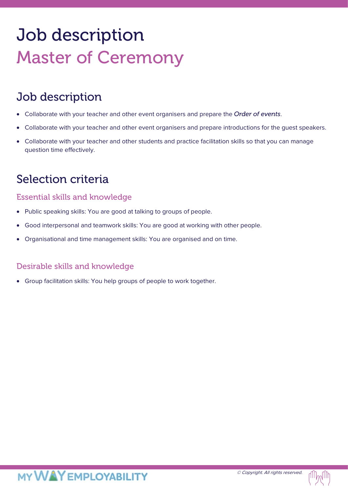# Job description Master of Ceremony

# Job description

- Collaborate with your teacher and other event organisers and prepare the *Order of events*.
- Collaborate with your teacher and other event organisers and prepare introductions for the guest speakers.
- Collaborate with your teacher and other students and practice facilitation skills so that you can manage question time effectively.

### Selection criteria

### Essential skills and knowledge

- Public speaking skills: You are good at talking to groups of people.
- Good interpersonal and teamwork skills: You are good at working with other people.
- Organisational and time management skills: You are organised and on time.

### Desirable skills and knowledge

• Group facilitation skills: You help groups of people to work together.

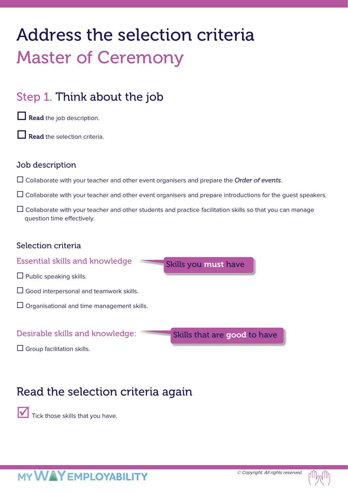# Address the selection criteria Master of Ceremony

# Step 1. Think about the job

 $\Box$  Read the job description.

Read the selection criteria.

### Job description

- Collaborate with your teacher and other event organisers and prepare the *Order of events*.
- $\Box$  Collaborate with your teacher and other event organisers and prepare introductions for the quest speakers.
- $\Box$  Collaborate with your teacher and other students and practice facilitation skills so that you can manage question time effectively.

### Selection criteria

Essential skills and knowledge

- $\Box$  Public speaking skills.
- $\Box$  Good interpersonal and teamwork skills.
- $\Box$  Organisational and time management skills.

### Desirable skills and knowledge:

Skills that are good to have

Skills you must have

 $\Box$  Group facilitation skills.

# Read the selection criteria again

Tick those skills that you have.

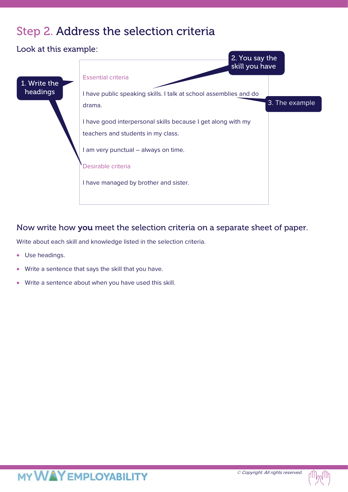## Step 2. Address the selection criteria

Look at this example: Essential criteria I have public speaking skills. I talk at school assemblies and do drama. I have good interpersonal skills because I get along with my teachers and students in my class. I am very punctual – always on time. Desirable criteria I have managed by brother and sister. 2. You say the skill you have 3. The example 1. Write the headings

### Now write how you meet the selection criteria on a separate sheet of paper.

Write about each skill and knowledge listed in the selection criteria.

- Use headings.
- Write a sentence that says the skill that you have.
- Write a sentence about when you have used this skill.

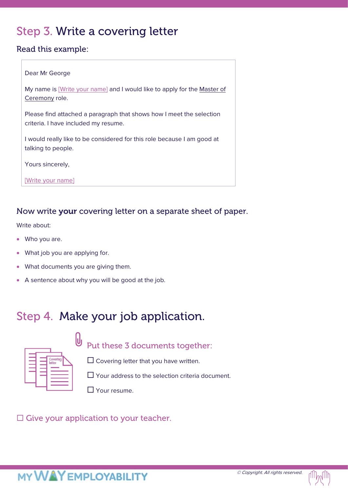# Step 3. Write a covering letter

### Read this example:

#### Dear Mr George

My name is [Write your name] and I would like to apply for the Master of Ceremony role.

Please find attached a paragraph that shows how I meet the selection criteria. I have included my resume.

I would really like to be considered for this role because I am good at talking to people.

Yours sincerely,

[Write your name]

### Now write your covering letter on a separate sheet of paper.

Write about:

- Who you are.
- What job you are applying for.
- What documents you are giving them.
- A sentence about why you will be good at the job.

# Step 4. Make your job application.



Put these 3 documents together:

 $\square$  Covering letter that you have written.

 $\Box$  Your address to the selection criteria document.

**T** Your resume.

 $\square$  Give your application to your teacher.